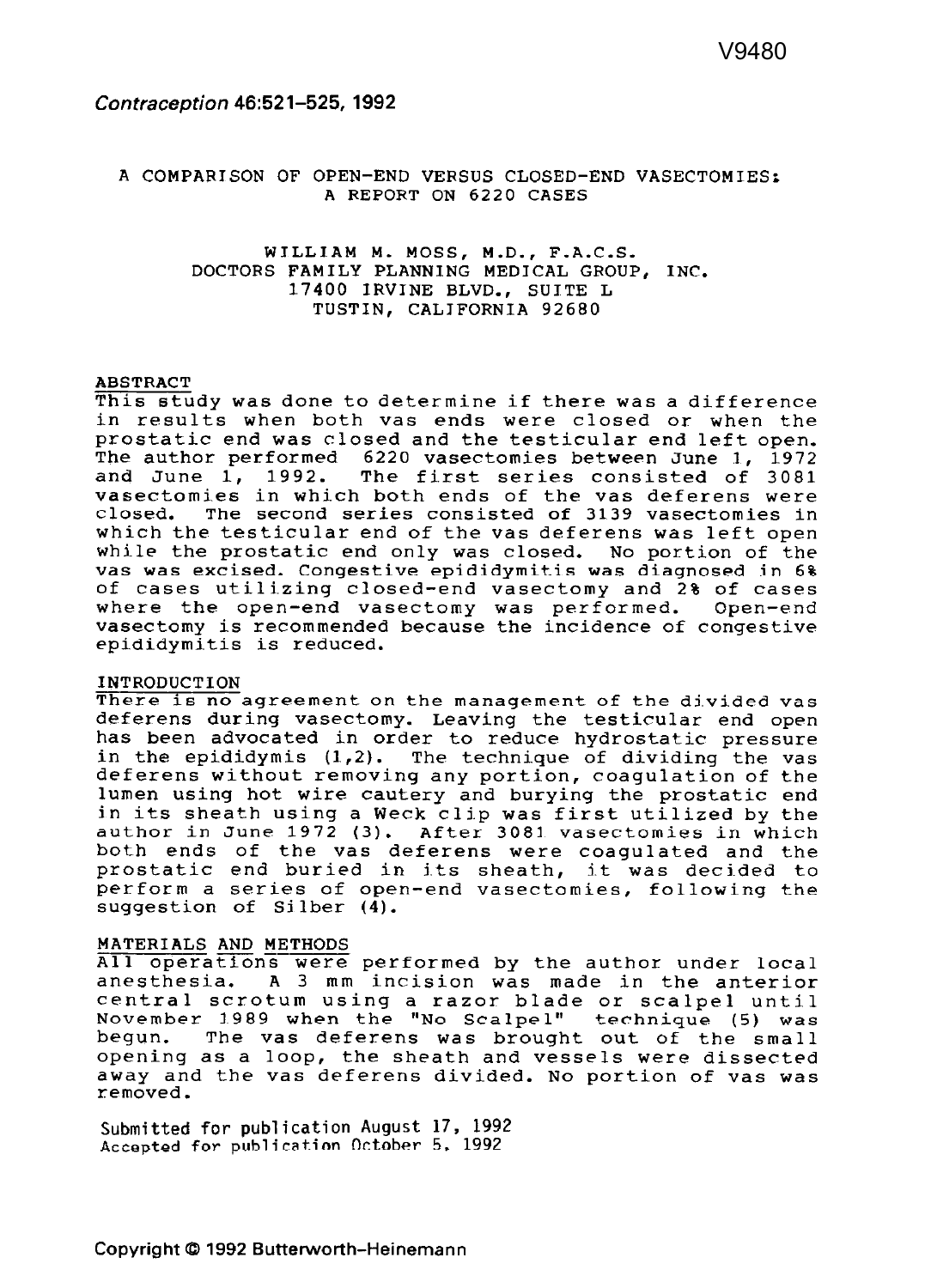# *Contraception 46:521-525, 1992*

### A COMPARISON OF OPEN-END VERSUS CLOSED-END VASECTOMIESt A REPORT ON 6220 CASES

## WILLIAM **M.** MOSS, M.D., F.A.C.S. DOCTORS FAMILY PLANNING MEDICAL GROUP, INC. 17400 IRVINE BLVD., SUITE L TUSTIN, CALTFORNIA 92680

#### ABSTRACT

This study was done to determine if there was a difference in results when both vas ends were closed or when the prostatic end was closed and the testicular end left open. The author performed 6220 **vasectomies** between June 1, 1972 and June 1, 1992. The first series consisted of 3081 vasectomies in which both ends of the vas deferens were closed. The second series consisted of 3139 vasectomies in which the testicular end of the vas deferens **was** left open while the prostatic end only was closed. No portion of the vas was excised. Congestive epididymitis was diagnosed in 6% of cases utilizing closed-end vasectomy and 2% of cases where the open-end vasectomy **was** performed, Open-end vasectomy is recommended because the incidence of congestive epididymitis is reduced.

#### INTRODUCTION

There is no agreement on the management of the djvided vas deferens during vasectomy. Leaving the testicular end open has been advocated in order to reduce hydrostatic pressure in the epididymis  $(1,2)$ . The technique of dividing the vas deferens without removing any portion, coagulation of the lumen using hot wire cautery and burying the prostatic end in its sheath using a Week clip was first utilized by the author in June 1972 (3). After 3081 vasectomies in which both ends of the vas deferens were coagulated and the prostatic end buried in its sheath, it was decided to perform a series of open-end vasectomies, following the suggestion of Silber (4).

#### MATERIALS AND METHODS

All operations were performed by the author under local anesthesia, A 3 **mm** incision was made in the anterior central scrotum using a razor blade or scalpel until November 1.989 when the "NO Scalpel" technique (5) was begun. The vas deferens was brought out of the small opening as a loop, the sheath and vessels were dissected away and the vas deferens divided. No portion of vas was removed.

Submitted **for publication August 17, 1992 Accepted for publication October 5, 1992**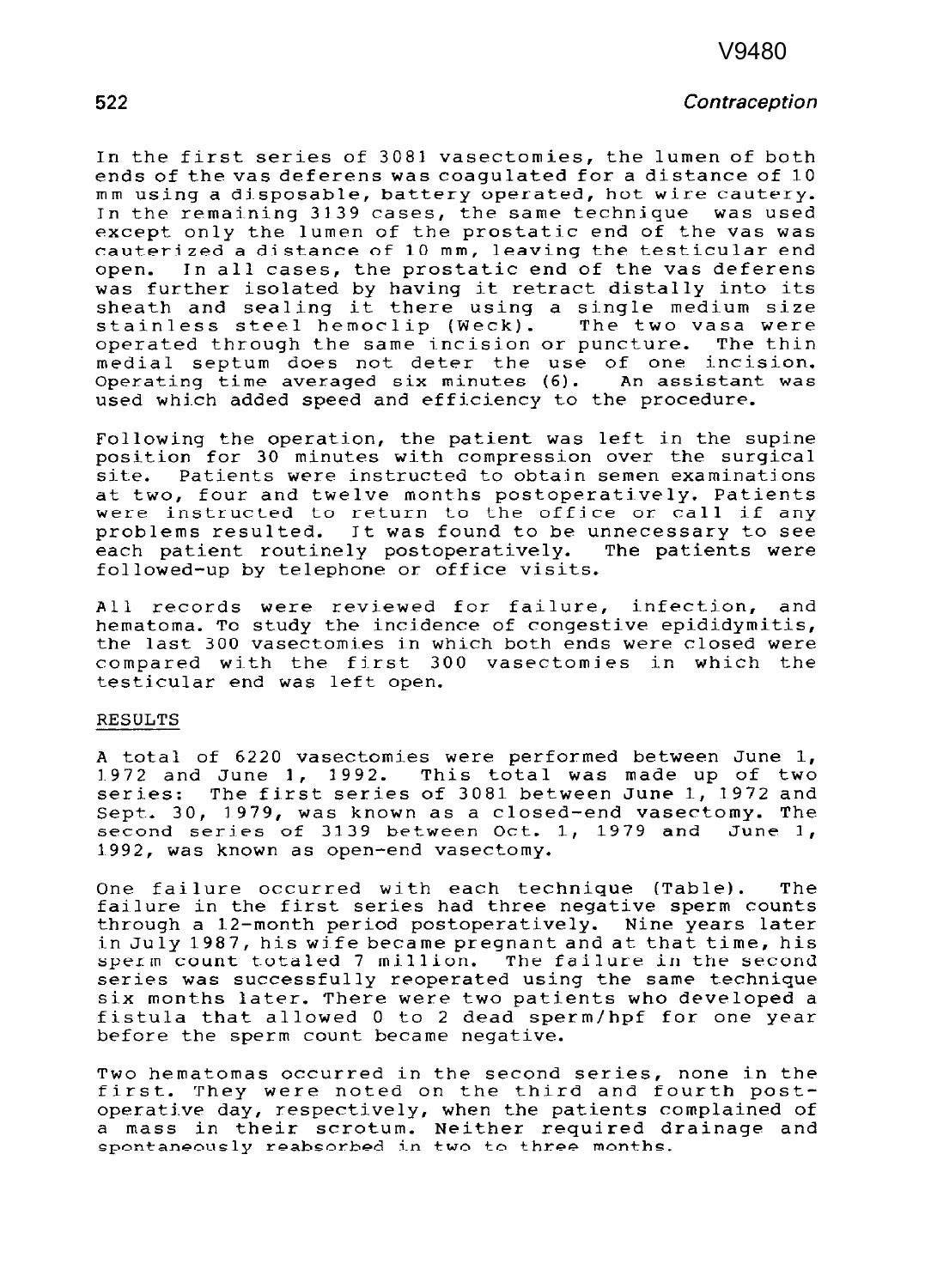In the first series of 3081 vasectomies, the lumen of both ends of the vas deferens was coagulated for a distance of 10 mm using a disposable, battery operated, hot wire cautery. In the remaining 3139 cases, the same technique was used except only the lumen of the prostatic end of the vas was cauterized a distance of 3.0 **mm, leaving** the testicular end open. In all cases, the prostatic end of the vas deferens was further isolated by having it retract distally into its sheath and sealing it there using a single medium size stainless steel hemoclip (Week). The two vasa were operated through the same incision or puncture. The thin medial septum does not deter the use of one incision. Operating time averaged six minutes (6). An assistant was used which added speed and efficiency to the procedure.

Following the operation, the patient was left in the supine position for 30 minutes with compression over the surgical site. Patients were instructed to obtain semen examinations at two, four and twelve months postoperatively. Patients were instructed to return to the office or call if any problems resulted. It was found to be unnecessary to see each patient routinely postoperatively. The patients were followed-up by telephone or office visits.

All records were reviewed for failure, infection, and hematoma. To study the incidence of congestive epididymitis, the last 300 vasectomies in which both ends were closed were compared width the first 300 vasectomjes in which the testicular end was left open.

#### RESULTS

A total of 6220 vasectomies were performed between June 1, 3.972 and June 1, 1992. This total was made up of two series: The first series of 3081 between June 1, 1972 and Sept. 30, 1979, was known as a closed-end vasectomy. The second serjes of 3139 between Oct. 1, 1979 and June 1, 1992, was known as open-end vasectomy.

One failure occurred with each technique (Table). The failure in the first series had three negative sperm counts through a 12-month period postoperatively. Nine years later in July1987, his wife became pregnant and at **that** time, his sperm count totaled 7 million. The failure in the second series **was** successfully reoperated using the same technique six months later. There were two patients who developed a fistula that allowed 0 to 2 dead sperm/hpf for one year before the sperm count became negative.

Two hematomas occurred in the second series, none in the first. They were noted on the third and fourth postoperative day, respectively, when the patients complained of a mass in their scrotum. Neither required drainage and spontaneously reabsorbed in two to three months.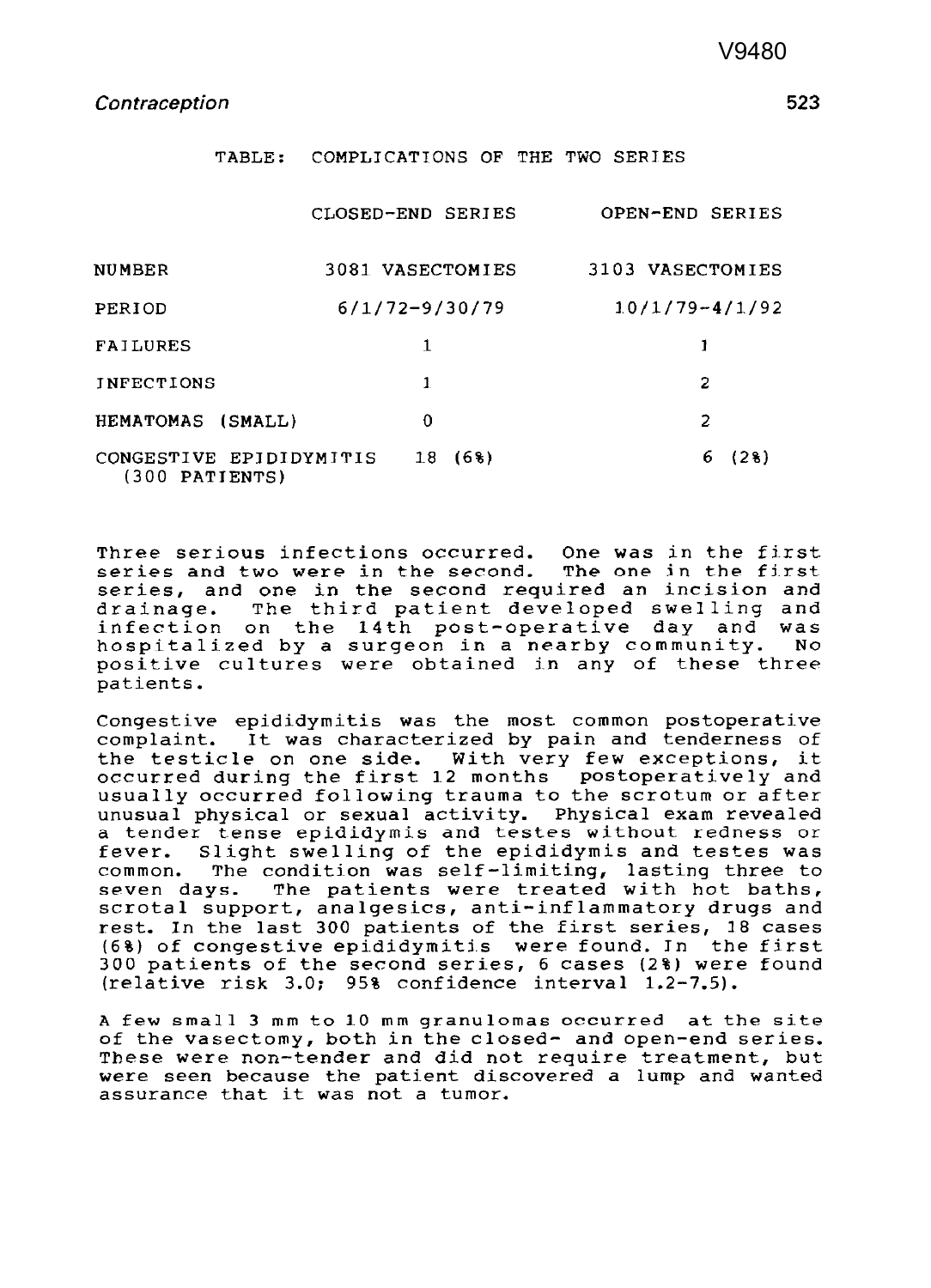TABLE: COMPLICATIONS OF THE TWO SERIES

|                                                       | CLOSED-END SERIES  | OPEN-END SERIES    |
|-------------------------------------------------------|--------------------|--------------------|
| <b>NUMBER</b>                                         | 3081 VASECTOMIES   | 3103 VASECTOMIES   |
| PERIOD                                                | $6/1/72 - 9/30/79$ | $10/1/79 - 4/1/92$ |
| <b>FAILURES</b>                                       | 1                  | 1                  |
| <b>INFECTIONS</b>                                     | $\mathbf{1}$       | 2                  |
| HEMATOMAS (SMALL)                                     | 0                  | 2                  |
| CONGESTIVE EPIDIDYMITIS<br>18(68)<br>$(300$ PATIENTS) |                    | (28)<br>6.         |

Three serious infections occurred. One was in the first series and two were in the second. The one in the first series, and one in the second required an incision and<br>drainage. The third patient developed swelling and The third patient developed swelling and infection on the 14th post-operative day and was hospitalized by a surgeon in a nearby community. No positive cultures were obtained in any of these three patients.

Congestive epididymitis was the most common postoperative complaint. It was characterized by pain and tenderness of the testicle on one side. With very few exceptions, it occurred during the first 12 months postoperatively and usually occurred following trauma to the scrotum or after unusual physical or sexual activity. Physical exam revealed a tender tense epididymis and testes without redness or fever. Slight swelling of the epididymis and testes was common. The condition was self-limiting, lasting three to seven days. The patients were treated with hot baths, scrotal support, analgesics, anti-inflammatory drugs and rest. In the last 300 patients of the first series, 18 cases (6%) of congestive epididymitis were found. In the first 300 patients of the second series, 6 cases (2%) were found (relative risk 3.0; 95% confidence interval 1.2-7.5).

A few small 3 **mm** to IO mm granulomas occurred at the site of the vasectomy, both in the closed- and open-end series. These were non-tender and did not require treatment, but were seen because the patient discovered a lump and wanted assurance that it was not a tumor.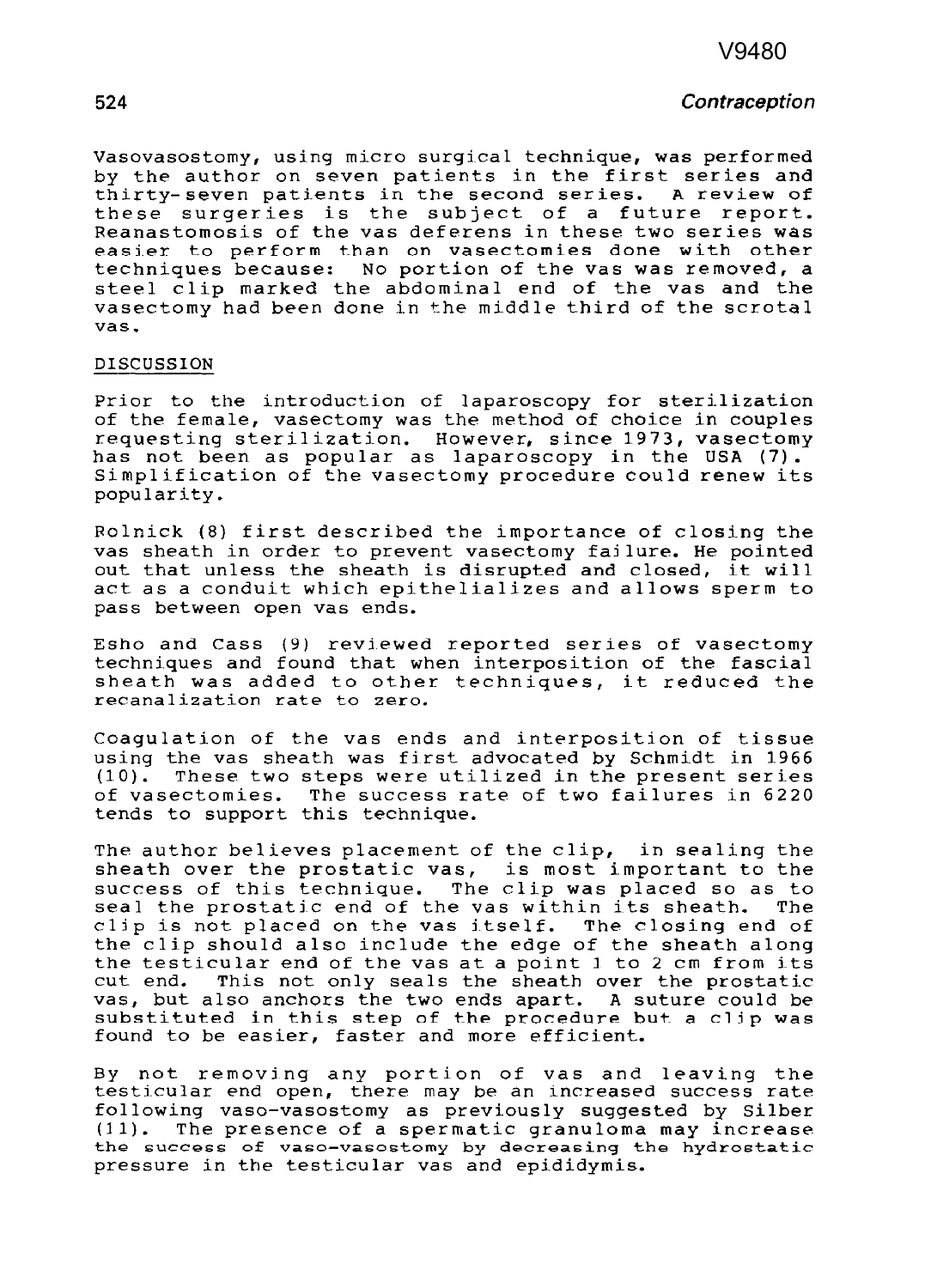Vasovasostomy, using micro surgical technique, was performed by the author on seven patients in the first series and thirty-seven patients in the second series. A review of these surgeries is the subject of a future report. Reanastomosis of the vas deferens in these two series was easier to perform than on vasectomies done with other techniques because: No portion of the vas was removed, a steel clip marked the abdominal end of the vas and the vasectomy had been done in the middle third of the scrotal vas.

#### DISCUSSION

Prior to the introduction of laparoscopy for sterilization of the female, vasectomy was the method of choice in couples requesting sterilization. However, since 1973, vasectomy has not been as popular as laparoscopy in the USA (7). Simplification of the vasectomy procedure could renew its popularity.

Rolnick (8) first described the importance of closing the vas sheath in order to prevent vasectomy fajlure. He pointed out that unless the sheath is disrupted and closed, it will act as a conduit which epithelializes and allows sperm to pass between open vas ends.

Esho and Cass (9) reviewed reported series of vasectom techniques and found that when interposition of the fascial sheath was added to other techniques, it reduced **the**  recanalization rate to zero.

Coagulation of the vas ends and interposition of tissue using the vas sheath was first advocated by Schmidt in 1966 (10). These two steps were utilized in the present series of vasectomies. The success rate of two failures in 6220 tends **to** support this technique.

The author believes placement of the clip, in sealing the sheath over the prostatic vas, is most important to the success of this technique. The clip was placed so as to seal the prostatic end of the vas within its **sheath. The clip is not placed** on the **vas** itself. The closing end of the clip should also include the edge of the sheath along the testicular end of the vas **at** a point 1 to 2 cm from its This not only seals the sheath over the prostatic vas, but also anchors the two ends apart. A suture could be substituted in this step of the procedure but a clip was found to be easier, faster and more efficient.

By not removing any portion of vas and leaving the testicular end open, there may be an increased success rate following vaso-vasostomy as previously suggested by Silber (11). The presence of a spermatic granuloma may increase the success of vaso-vasostomy by decreasing the hydrostatic pressure in the testicular vas and epididymis.